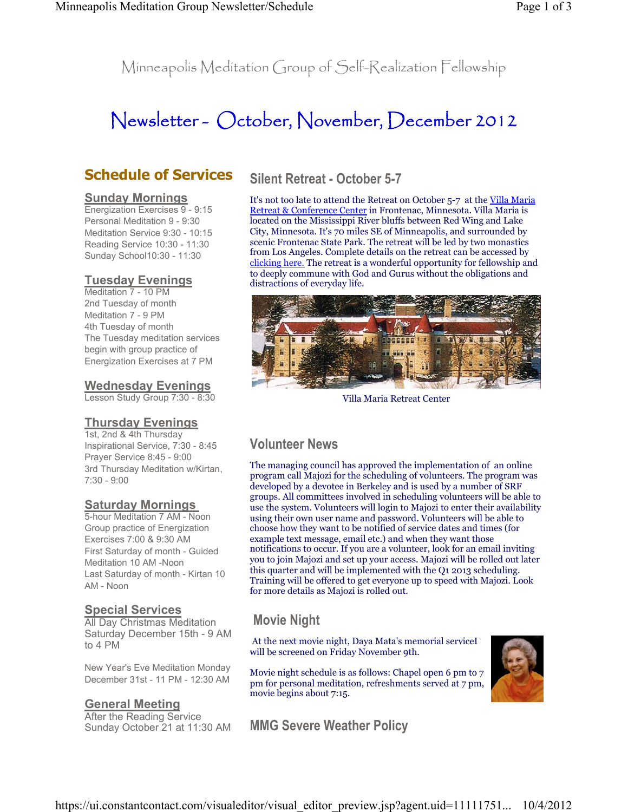Minneapolis Meditation Group of Self-Realization Fellowship

# Newsletter - October, November, December 2012

# **Schedule of Services**

#### **Sunday Mornings**

Energization Exercises 9 - 9:15 Personal Meditation 9 - 9:30 Meditation Service 9:30 - 10:15 Reading Service 10:30 - 11:30 Sunday School10:30 - 11:30

#### **Tuesday Evenings**

Meditation 7 - 10 PM 2nd Tuesday of month Meditation 7 - 9 PM 4th Tuesday of month The Tuesday meditation services begin with group practice of Energization Exercises at 7 PM

#### **Wednesday Evenings**

Lesson Study Group 7:30 - 8:30

#### **Thursday Evenings**

1st, 2nd & 4th Thursday Inspirational Service, 7:30 - 8:45 Prayer Service 8:45 - 9:00 3rd Thursday Meditation w/Kirtan, 7:30 - 9:00

#### **Saturday Mornings**

5-hour Meditation 7 AM - Noon Group practice of Energization Exercises 7:00 & 9:30 AM First Saturday of month - Guided Meditation 10 AM -Noon Last Saturday of month - Kirtan 10 AM - Noon

#### **Special Services**

All Day Christmas Meditation Saturday December 15th - 9 AM to 4 PM

New Year's Eve Meditation Monday December 31st - 11 PM - 12:30 AM

#### **General Meeting**

After the Reading Service Sunday October 21 at 11:30 AM

# **Silent Retreat - October 5-7**

It's not too late to attend the Retreat on October 5-7 at the Villa Maria Retreat & Conference Center in Frontenac, Minnesota. Villa Maria is located on the Mississippi River bluffs between Red Wing and Lake City, Minnesota. It's 70 miles SE of Minneapolis, and surrounded by scenic Frontenac State Park. The retreat will be led by two monastics from Los Angeles. Complete details on the retreat can be accessed by clicking here. The retreat is a wonderful opportunity for fellowship and to deeply commune with God and Gurus without the obligations and distractions of everyday life.



Villa Maria Retreat Center

## **Volunteer News**

The managing council has approved the implementation of an online program call Majozi for the scheduling of volunteers. The program was developed by a devotee in Berkeley and is used by a number of SRF groups. All committees involved in scheduling volunteers will be able to use the system. Volunteers will login to Majozi to enter their availability using their own user name and password. Volunteers will be able to choose how they want to be notified of service dates and times (for example text message, email etc.) and when they want those notifications to occur. If you are a volunteer, look for an email inviting you to join Majozi and set up your access. Majozi will be rolled out later this quarter and will be implemented with the Q1 2013 scheduling. Training will be offered to get everyone up to speed with Majozi. Look for more details as Majozi is rolled out.

## **Movie Night**

 At the next movie night, Daya Mata's memorial serviceI will be screened on Friday November 9th.

Movie night schedule is as follows: Chapel open 6 pm to 7 pm for personal meditation, refreshments served at 7 pm, movie begins about 7:15.



**MMG Severe Weather Policy**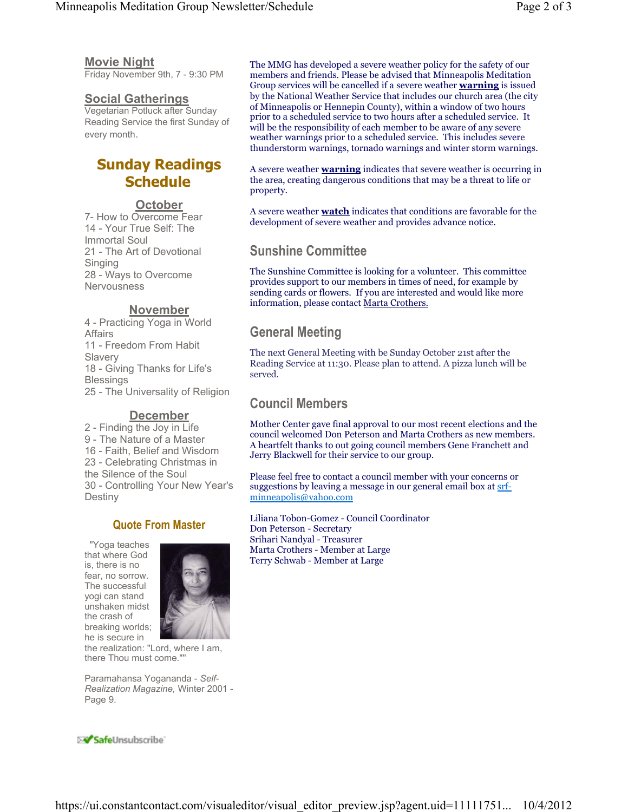#### **Movie Night**

Friday November 9th, 7 - 9:30 PM

#### **Social Gatherings**

Vegetarian Potluck after Sunday Reading Service the first Sunday of every month.

# **Sunday Readings Schedule**

#### **October**

7- How to Overcome Fear 14 - Your True Self: The Immortal Soul 21 - The Art of Devotional Singing 28 - Ways to Overcome **Nervousness** 

#### **November**

4 - Practicing Yoga in World Affairs 11 - Freedom From Habit Slavery 18 - Giving Thanks for Life's **Blessings** 25 - The Universality of Religion

#### **December**

2 - Finding the Joy in Life 9 - The Nature of a Master 16 - Faith, Belief and Wisdom 23 - Celebrating Christmas in the Silence of the Soul 30 - Controlling Your New Year's Destiny

## **Quote From Master**

 "Yoga teaches that where God is, there is no fear, no sorrow. The successful yogi can stand unshaken midst the crash of breaking worlds; he is secure in



the realization: "Lord, where I am, there Thou must come.""

Paramahansa Yogananda - *Self-Realization Magazine,* Winter 2001 - Page 9.

The MMG has developed a severe weather policy for the safety of our members and friends. Please be advised that Minneapolis Meditation Group services will be cancelled if a severe weather **warning** is issued by the National Weather Service that includes our church area (the city of Minneapolis or Hennepin County), within a window of two hours prior to a scheduled service to two hours after a scheduled service. It will be the responsibility of each member to be aware of any severe weather warnings prior to a scheduled service. This includes severe thunderstorm warnings, tornado warnings and winter storm warnings.

A severe weather **warning** indicates that severe weather is occurring in the area, creating dangerous conditions that may be a threat to life or property.

A severe weather **watch** indicates that conditions are favorable for the development of severe weather and provides advance notice.

# **Sunshine Committee**

The Sunshine Committee is looking for a volunteer. This committee provides support to our members in times of need, for example by sending cards or flowers. If you are interested and would like more information, please contact Marta Crothers.

# **General Meeting**

The next General Meeting with be Sunday October 21st after the Reading Service at 11:30. Please plan to attend. A pizza lunch will be served.

#### **Council Members**

Mother Center gave final approval to our most recent elections and the council welcomed Don Peterson and Marta Crothers as new members. A heartfelt thanks to out going council members Gene Franchett and Jerry Blackwell for their service to our group.

Please feel free to contact a council member with your concerns or suggestions by leaving a message in our general email box at srfminneapolis@yahoo.com

Liliana Tobon-Gomez - Council Coordinator Don Peterson - Secretary Srihari Nandyal - Treasurer Marta Crothers - Member at Large Terry Schwab - Member at Large